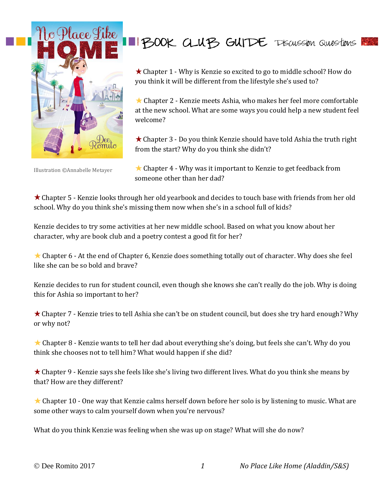

Illustration ©Annabelle Metayer

## IBOOK CLUB GUIDE TISCUSSION QUESTIONS

★ Chapter 1 - Why is Kenzie so excited to go to middle school? How do you think it will be different from the lifestyle she's used to?

 $\star$  Chapter 2 - Kenzie meets Ashia, who makes her feel more comfortable at the new school. What are some ways you could help a new student feel welcome?

Chapter 3 - Do you think Kenzie should have told Ashia the truth right from the start? Why do you think she didn't?

 $\star$  Chapter 4 - Why was it important to Kenzie to get feedback from someone other than her dad?

Chapter 5 - Kenzie looks through her old yearbook and decides to touch base with friends from her old school. Why do you think she's missing them now when she's in a school full of kids?

Kenzie decides to try some activities at her new middle school. Based on what you know about her character, why are book club and a poetry contest a good fit for her?

 $\star$  Chapter 6 - At the end of Chapter 6, Kenzie does something totally out of character. Why does she feel like she can be so bold and brave?

Kenzie decides to run for student council, even though she knows she can't really do the job. Why is doing this for Ashia so important to her?

Chapter 7 - Kenzie tries to tell Ashia she can't be on student council, but does she try hard enough? Why or why not?

★ Chapter 8 - Kenzie wants to tell her dad about everything she's doing, but feels she can't. Why do you think she chooses not to tell him? What would happen if she did?

Chapter 9 - Kenzie says she feels like she's living two different lives. What do you think she means by that? How are they different?

 $\star$  Chapter 10 - One way that Kenzie calms herself down before her solo is by listening to music. What are some other ways to calm yourself down when you're nervous?

What do you think Kenzie was feeling when she was up on stage? What will she do now?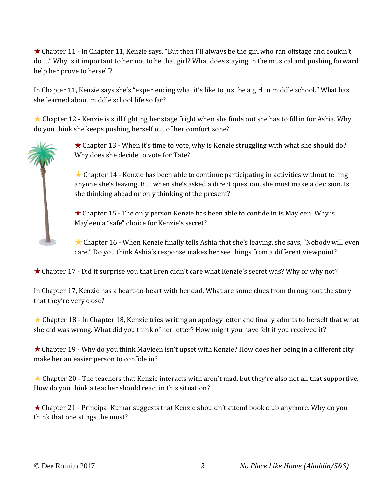Chapter 11 - In Chapter 11, Kenzie says, "But then I'll always be the girl who ran offstage and couldn't do it." Why is it important to her not to be that girl? What does staying in the musical and pushing forward help her prove to herself?

In Chapter 11, Kenzie says she's "experiencing what it's like to just be a girl in middle school." What has she learned about middle school life so far?

★ Chapter 12 - Kenzie is still fighting her stage fright when she finds out she has to fill in for Ashia. Why do you think she keeps pushing herself out of her comfort zone?

> $\star$  Chapter 13 - When it's time to vote, why is Kenzie struggling with what she should do? Why does she decide to vote for Tate?

 $\star$  Chapter 14 - Kenzie has been able to continue participating in activities without telling anyone she's leaving. But when she's asked a direct question, she must make a decision. Is she thinking ahead or only thinking of the present?

 $\star$  Chapter 15 - The only person Kenzie has been able to confide in is Mayleen. Why is Mayleen a "safe" choice for Kenzie's secret?

 $\star$  Chapter 16 - When Kenzie finally tells Ashia that she's leaving, she says, "Nobody will even care." Do you think Ashia's response makes her see things from a different viewpoint?

 $\star$  Chapter 17 - Did it surprise you that Bren didn't care what Kenzie's secret was? Why or why not?

In Chapter 17, Kenzie has a heart-to-heart with her dad. What are some clues from throughout the story that they're very close?

 $\star$  Chapter 18 - In Chapter 18, Kenzie tries writing an apology letter and finally admits to herself that what she did was wrong. What did you think of her letter? How might you have felt if you received it?

Chapter 19 - Why do you think Mayleen isn't upset with Kenzie? How does her being in a different city make her an easier person to confide in?

 $\star$  Chapter 20 - The teachers that Kenzie interacts with aren't mad, but they're also not all that supportive. How do you think a teacher should react in this situation?

Chapter 21 - Principal Kumar suggests that Kenzie shouldn't attend book club anymore. Why do you think that one stings the most?